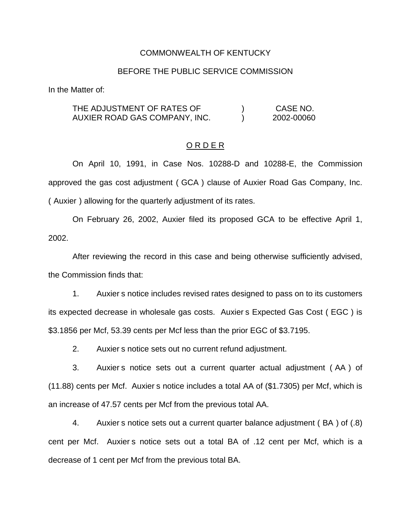#### COMMONWEALTH OF KENTUCKY

### BEFORE THE PUBLIC SERVICE COMMISSION

In the Matter of:

THE ADJUSTMENT OF RATES OF  $(1, 1)$  CASE NO. AUXIER ROAD GAS COMPANY, INC. (a) 2002-00060

#### O R D E R

On April 10, 1991, in Case Nos. 10288-D and 10288-E, the Commission approved the gas cost adjustment ( GCA ) clause of Auxier Road Gas Company, Inc. ( Auxier ) allowing for the quarterly adjustment of its rates.

On February 26, 2002, Auxier filed its proposed GCA to be effective April 1, 2002.

After reviewing the record in this case and being otherwise sufficiently advised, the Commission finds that:

1. Auxier s notice includes revised rates designed to pass on to its customers its expected decrease in wholesale gas costs. Auxier s Expected Gas Cost ( EGC ) is \$3.1856 per Mcf, 53.39 cents per Mcf less than the prior EGC of \$3.7195.

2. Auxier s notice sets out no current refund adjustment.

3. Auxier s notice sets out a current quarter actual adjustment ( AA ) of (11.88) cents per Mcf. Auxier s notice includes a total AA of (\$1.7305) per Mcf, which is an increase of 47.57 cents per Mcf from the previous total AA.

4. Auxier s notice sets out a current quarter balance adjustment ( BA ) of (.8) cent per Mcf. Auxier s notice sets out a total BA of .12 cent per Mcf, which is a decrease of 1 cent per Mcf from the previous total BA.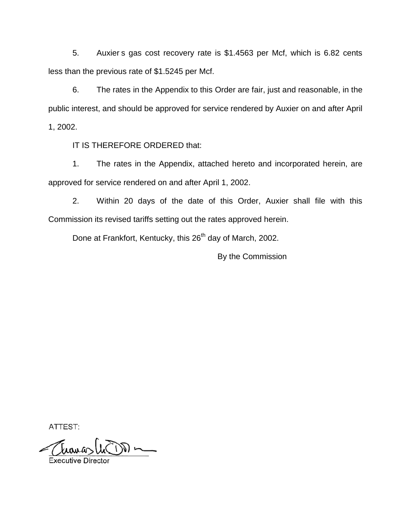5. Auxier s gas cost recovery rate is \$1.4563 per Mcf, which is 6.82 cents less than the previous rate of \$1.5245 per Mcf.

6. The rates in the Appendix to this Order are fair, just and reasonable, in the public interest, and should be approved for service rendered by Auxier on and after April 1, 2002.

IT IS THEREFORE ORDERED that:

1. The rates in the Appendix, attached hereto and incorporated herein, are approved for service rendered on and after April 1, 2002.

2. Within 20 days of the date of this Order, Auxier shall file with this Commission its revised tariffs setting out the rates approved herein.

Done at Frankfort, Kentucky, this 26<sup>th</sup> day of March, 2002.

By the Commission

ATTEST:

 $\longrightarrow \widetilde{W}$